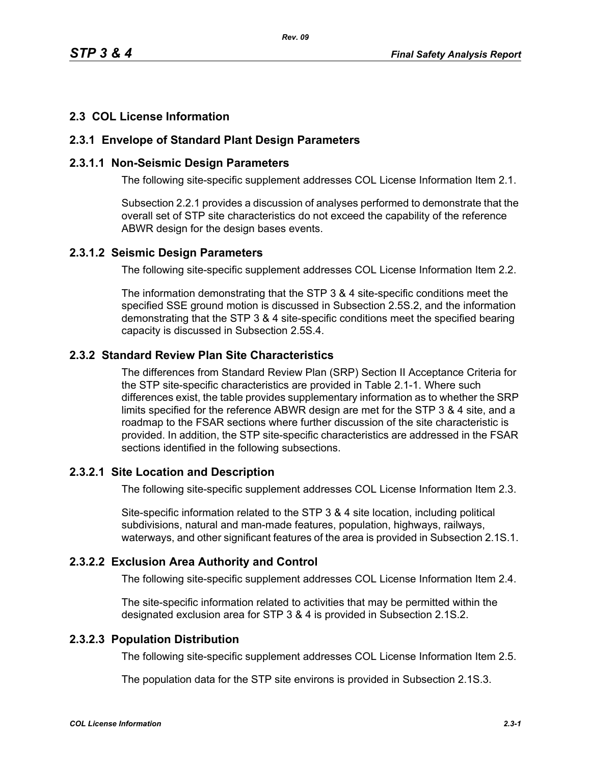## **2.3 COL License Information**

### **2.3.1 Envelope of Standard Plant Design Parameters**

### **2.3.1.1 Non-Seismic Design Parameters**

The following site-specific supplement addresses COL License Information Item 2.1.

Subsection 2.2.1 provides a discussion of analyses performed to demonstrate that the overall set of STP site characteristics do not exceed the capability of the reference ABWR design for the design bases events.

#### **2.3.1.2 Seismic Design Parameters**

The following site-specific supplement addresses COL License Information Item 2.2.

The information demonstrating that the STP 3 & 4 site-specific conditions meet the specified SSE ground motion is discussed in Subsection 2.5S.2, and the information demonstrating that the STP 3 & 4 site-specific conditions meet the specified bearing capacity is discussed in Subsection 2.5S.4.

## **2.3.2 Standard Review Plan Site Characteristics**

The differences from Standard Review Plan (SRP) Section II Acceptance Criteria for the STP site-specific characteristics are provided in Table 2.1-1. Where such differences exist, the table provides supplementary information as to whether the SRP limits specified for the reference ABWR design are met for the STP 3 & 4 site, and a roadmap to the FSAR sections where further discussion of the site characteristic is provided. In addition, the STP site-specific characteristics are addressed in the FSAR sections identified in the following subsections.

### **2.3.2.1 Site Location and Description**

The following site-specific supplement addresses COL License Information Item 2.3.

Site-specific information related to the STP 3 & 4 site location, including political subdivisions, natural and man-made features, population, highways, railways, waterways, and other significant features of the area is provided in Subsection 2.1S.1.

### **2.3.2.2 Exclusion Area Authority and Control**

The following site-specific supplement addresses COL License Information Item 2.4.

The site-specific information related to activities that may be permitted within the designated exclusion area for STP 3 & 4 is provided in Subsection 2.1S.2.

# **2.3.2.3 Population Distribution**

The following site-specific supplement addresses COL License Information Item 2.5.

The population data for the STP site environs is provided in Subsection 2.1S.3.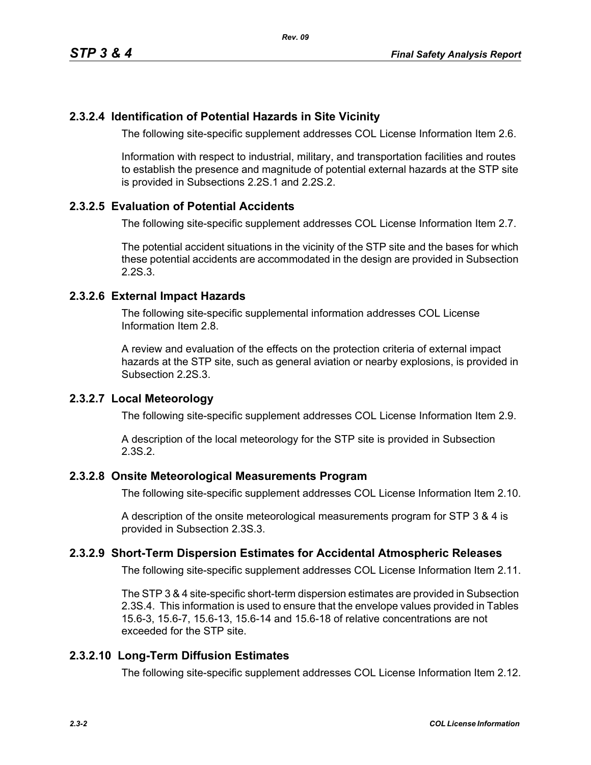## **2.3.2.4 Identification of Potential Hazards in Site Vicinity**

The following site-specific supplement addresses COL License Information Item 2.6.

Information with respect to industrial, military, and transportation facilities and routes to establish the presence and magnitude of potential external hazards at the STP site is provided in Subsections 2.2S.1 and 2.2S.2.

### **2.3.2.5 Evaluation of Potential Accidents**

The following site-specific supplement addresses COL License Information Item 2.7.

The potential accident situations in the vicinity of the STP site and the bases for which these potential accidents are accommodated in the design are provided in Subsection 2.2S.3.

### **2.3.2.6 External Impact Hazards**

The following site-specific supplemental information addresses COL License Information Item 2.8.

A review and evaluation of the effects on the protection criteria of external impact hazards at the STP site, such as general aviation or nearby explosions, is provided in Subsection 2.2S.3.

### **2.3.2.7 Local Meteorology**

The following site-specific supplement addresses COL License Information Item 2.9.

A description of the local meteorology for the STP site is provided in Subsection 2.3S.2.

#### **2.3.2.8 Onsite Meteorological Measurements Program**

The following site-specific supplement addresses COL License Information Item 2.10.

A description of the onsite meteorological measurements program for STP 3 & 4 is provided in Subsection 2.3S.3.

### **2.3.2.9 Short-Term Dispersion Estimates for Accidental Atmospheric Releases**

The following site-specific supplement addresses COL License Information Item 2.11.

The STP 3 & 4 site-specific short-term dispersion estimates are provided in Subsection 2.3S.4. This information is used to ensure that the envelope values provided in Tables 15.6-3, 15.6-7, 15.6-13, 15.6-14 and 15.6-18 of relative concentrations are not exceeded for the STP site.

### **2.3.2.10 Long-Term Diffusion Estimates**

The following site-specific supplement addresses COL License Information Item 2.12.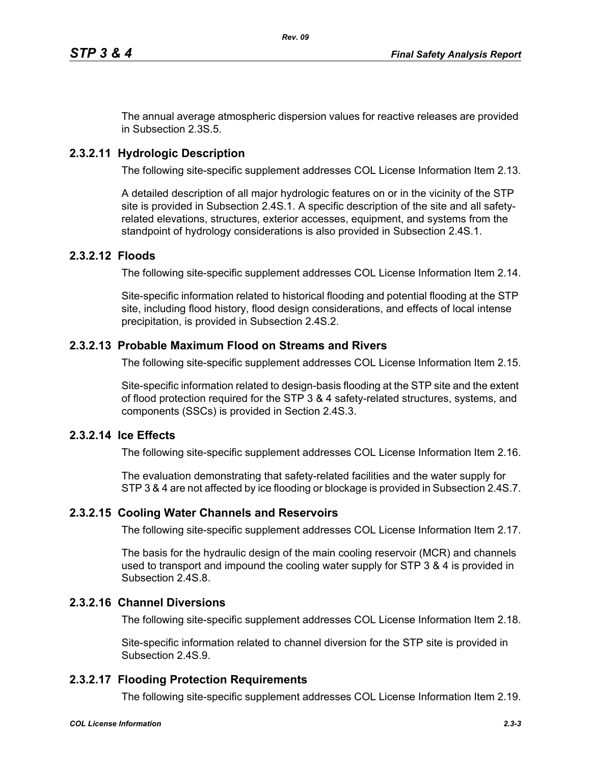The annual average atmospheric dispersion values for reactive releases are provided in Subsection 2.3S.5.

## **2.3.2.11 Hydrologic Description**

The following site-specific supplement addresses COL License Information Item 2.13.

A detailed description of all major hydrologic features on or in the vicinity of the STP site is provided in Subsection 2.4S.1. A specific description of the site and all safetyrelated elevations, structures, exterior accesses, equipment, and systems from the standpoint of hydrology considerations is also provided in Subsection 2.4S.1.

### **2.3.2.12 Floods**

The following site-specific supplement addresses COL License Information Item 2.14.

Site-specific information related to historical flooding and potential flooding at the STP site, including flood history, flood design considerations, and effects of local intense precipitation, is provided in Subsection 2.4S.2.

### **2.3.2.13 Probable Maximum Flood on Streams and Rivers**

The following site-specific supplement addresses COL License Information Item 2.15.

Site-specific information related to design-basis flooding at the STP site and the extent of flood protection required for the STP 3 & 4 safety-related structures, systems, and components (SSCs) is provided in Section 2.4S.3.

### **2.3.2.14 Ice Effects**

The following site-specific supplement addresses COL License Information Item 2.16.

The evaluation demonstrating that safety-related facilities and the water supply for STP 3 & 4 are not affected by ice flooding or blockage is provided in Subsection 2.4S.7.

#### **2.3.2.15 Cooling Water Channels and Reservoirs**

The following site-specific supplement addresses COL License Information Item 2.17.

The basis for the hydraulic design of the main cooling reservoir (MCR) and channels used to transport and impound the cooling water supply for STP 3 & 4 is provided in Subsection 2.4S.8.

### **2.3.2.16 Channel Diversions**

The following site-specific supplement addresses COL License Information Item 2.18.

Site-specific information related to channel diversion for the STP site is provided in Subsection 2.4S.9.

### **2.3.2.17 Flooding Protection Requirements**

The following site-specific supplement addresses COL License Information Item 2.19.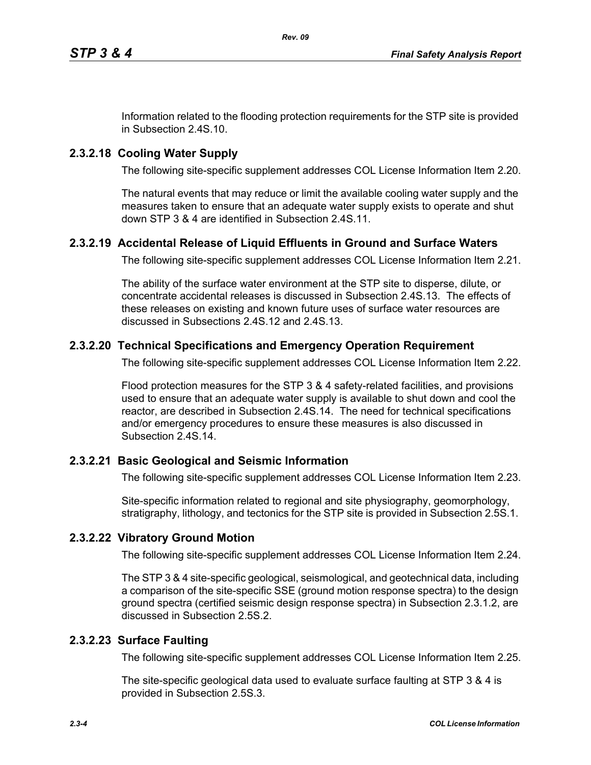Information related to the flooding protection requirements for the STP site is provided in Subsection 2.4S.10.

# **2.3.2.18 Cooling Water Supply**

The following site-specific supplement addresses COL License Information Item 2.20.

The natural events that may reduce or limit the available cooling water supply and the measures taken to ensure that an adequate water supply exists to operate and shut down STP 3 & 4 are identified in Subsection 2.4S.11.

# **2.3.2.19 Accidental Release of Liquid Effluents in Ground and Surface Waters**

The following site-specific supplement addresses COL License Information Item 2.21.

The ability of the surface water environment at the STP site to disperse, dilute, or concentrate accidental releases is discussed in Subsection 2.4S.13. The effects of these releases on existing and known future uses of surface water resources are discussed in Subsections 2.4S.12 and 2.4S.13.

# **2.3.2.20 Technical Specifications and Emergency Operation Requirement**

The following site-specific supplement addresses COL License Information Item 2.22.

Flood protection measures for the STP 3 & 4 safety-related facilities, and provisions used to ensure that an adequate water supply is available to shut down and cool the reactor, are described in Subsection 2.4S.14. The need for technical specifications and/or emergency procedures to ensure these measures is also discussed in Subsection 2.4S.14.

# **2.3.2.21 Basic Geological and Seismic Information**

The following site-specific supplement addresses COL License Information Item 2.23.

Site-specific information related to regional and site physiography, geomorphology, stratigraphy, lithology, and tectonics for the STP site is provided in Subsection 2.5S.1.

# **2.3.2.22 Vibratory Ground Motion**

The following site-specific supplement addresses COL License Information Item 2.24.

The STP 3 & 4 site-specific geological, seismological, and geotechnical data, including a comparison of the site-specific SSE (ground motion response spectra) to the design ground spectra (certified seismic design response spectra) in Subsection 2.3.1.2, are discussed in Subsection 2.5S.2.

# **2.3.2.23 Surface Faulting**

The following site-specific supplement addresses COL License Information Item 2.25.

The site-specific geological data used to evaluate surface faulting at STP 3 & 4 is provided in Subsection 2.5S.3.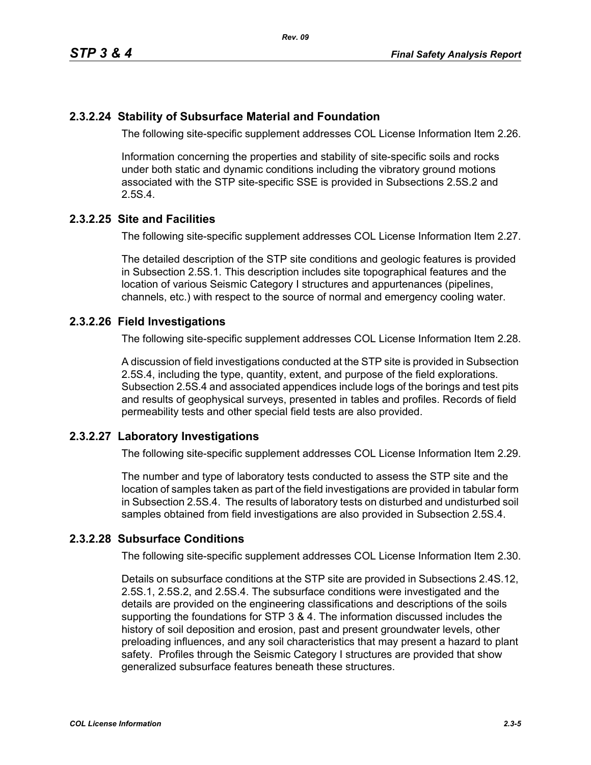## **2.3.2.24 Stability of Subsurface Material and Foundation**

The following site-specific supplement addresses COL License Information Item 2.26.

Information concerning the properties and stability of site-specific soils and rocks under both static and dynamic conditions including the vibratory ground motions associated with the STP site-specific SSE is provided in Subsections 2.5S.2 and 2.5S.4.

### **2.3.2.25 Site and Facilities**

The following site-specific supplement addresses COL License Information Item 2.27.

The detailed description of the STP site conditions and geologic features is provided in Subsection 2.5S.1. This description includes site topographical features and the location of various Seismic Category I structures and appurtenances (pipelines, channels, etc.) with respect to the source of normal and emergency cooling water.

### **2.3.2.26 Field Investigations**

The following site-specific supplement addresses COL License Information Item 2.28.

A discussion of field investigations conducted at the STP site is provided in Subsection 2.5S.4, including the type, quantity, extent, and purpose of the field explorations. Subsection 2.5S.4 and associated appendices include logs of the borings and test pits and results of geophysical surveys, presented in tables and profiles. Records of field permeability tests and other special field tests are also provided.

### **2.3.2.27 Laboratory Investigations**

The following site-specific supplement addresses COL License Information Item 2.29.

The number and type of laboratory tests conducted to assess the STP site and the location of samples taken as part of the field investigations are provided in tabular form in Subsection 2.5S.4. The results of laboratory tests on disturbed and undisturbed soil samples obtained from field investigations are also provided in Subsection 2.5S.4.

## **2.3.2.28 Subsurface Conditions**

The following site-specific supplement addresses COL License Information Item 2.30.

Details on subsurface conditions at the STP site are provided in Subsections 2.4S.12, 2.5S.1, 2.5S.2, and 2.5S.4. The subsurface conditions were investigated and the details are provided on the engineering classifications and descriptions of the soils supporting the foundations for STP 3 & 4. The information discussed includes the history of soil deposition and erosion, past and present groundwater levels, other preloading influences, and any soil characteristics that may present a hazard to plant safety. Profiles through the Seismic Category I structures are provided that show generalized subsurface features beneath these structures.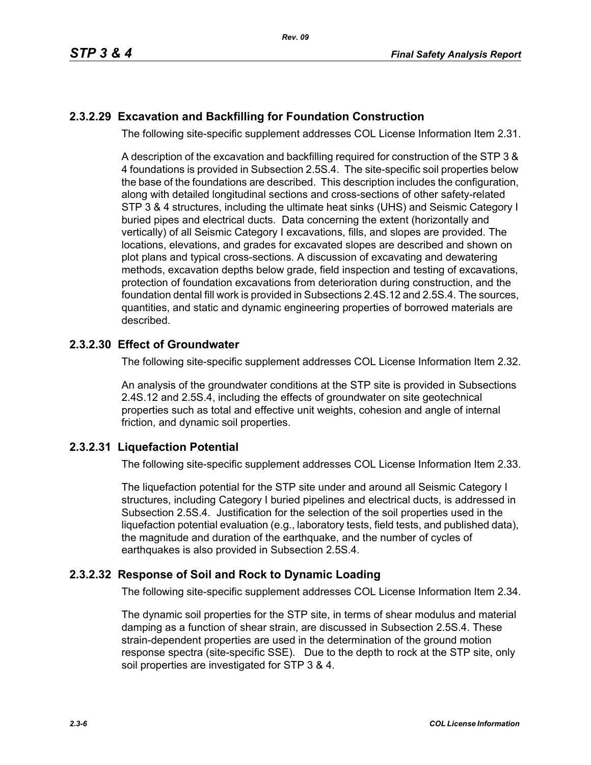## **2.3.2.29 Excavation and Backfilling for Foundation Construction**

The following site-specific supplement addresses COL License Information Item 2.31.

A description of the excavation and backfilling required for construction of the STP 3 & 4 foundations is provided in Subsection 2.5S.4. The site-specific soil properties below the base of the foundations are described. This description includes the configuration, along with detailed longitudinal sections and cross-sections of other safety-related STP 3 & 4 structures, including the ultimate heat sinks (UHS) and Seismic Category I buried pipes and electrical ducts. Data concerning the extent (horizontally and vertically) of all Seismic Category I excavations, fills, and slopes are provided. The locations, elevations, and grades for excavated slopes are described and shown on plot plans and typical cross-sections. A discussion of excavating and dewatering methods, excavation depths below grade, field inspection and testing of excavations, protection of foundation excavations from deterioration during construction, and the foundation dental fill work is provided in Subsections 2.4S.12 and 2.5S.4. The sources, quantities, and static and dynamic engineering properties of borrowed materials are described.

### **2.3.2.30 Effect of Groundwater**

The following site-specific supplement addresses COL License Information Item 2.32.

An analysis of the groundwater conditions at the STP site is provided in Subsections 2.4S.12 and 2.5S.4, including the effects of groundwater on site geotechnical properties such as total and effective unit weights, cohesion and angle of internal friction, and dynamic soil properties.

### **2.3.2.31 Liquefaction Potential**

The following site-specific supplement addresses COL License Information Item 2.33.

The liquefaction potential for the STP site under and around all Seismic Category I structures, including Category I buried pipelines and electrical ducts, is addressed in Subsection 2.5S.4. Justification for the selection of the soil properties used in the liquefaction potential evaluation (e.g., laboratory tests, field tests, and published data), the magnitude and duration of the earthquake, and the number of cycles of earthquakes is also provided in Subsection 2.5S.4.

### **2.3.2.32 Response of Soil and Rock to Dynamic Loading**

The following site-specific supplement addresses COL License Information Item 2.34.

The dynamic soil properties for the STP site, in terms of shear modulus and material damping as a function of shear strain, are discussed in Subsection 2.5S.4. These strain-dependent properties are used in the determination of the ground motion response spectra (site-specific SSE). Due to the depth to rock at the STP site, only soil properties are investigated for STP 3 & 4.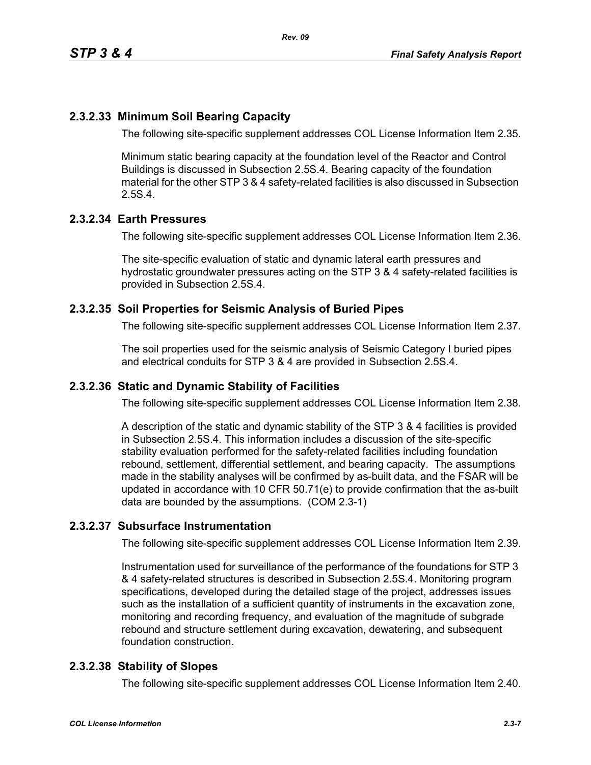#### **2.3.2.33 Minimum Soil Bearing Capacity**

The following site-specific supplement addresses COL License Information Item 2.35.

Minimum static bearing capacity at the foundation level of the Reactor and Control Buildings is discussed in Subsection 2.5S.4. Bearing capacity of the foundation material for the other STP 3 & 4 safety-related facilities is also discussed in Subsection 2.5S.4.

#### **2.3.2.34 Earth Pressures**

The following site-specific supplement addresses COL License Information Item 2.36.

The site-specific evaluation of static and dynamic lateral earth pressures and hydrostatic groundwater pressures acting on the STP 3 & 4 safety-related facilities is provided in Subsection 2.5S.4.

#### **2.3.2.35 Soil Properties for Seismic Analysis of Buried Pipes**

The following site-specific supplement addresses COL License Information Item 2.37.

The soil properties used for the seismic analysis of Seismic Category I buried pipes and electrical conduits for STP 3 & 4 are provided in Subsection 2.5S.4.

#### **2.3.2.36 Static and Dynamic Stability of Facilities**

The following site-specific supplement addresses COL License Information Item 2.38.

A description of the static and dynamic stability of the STP 3 & 4 facilities is provided in Subsection 2.5S.4. This information includes a discussion of the site-specific stability evaluation performed for the safety-related facilities including foundation rebound, settlement, differential settlement, and bearing capacity. The assumptions made in the stability analyses will be confirmed by as-built data, and the FSAR will be updated in accordance with 10 CFR 50.71(e) to provide confirmation that the as-built data are bounded by the assumptions. (COM 2.3-1)

#### **2.3.2.37 Subsurface Instrumentation**

The following site-specific supplement addresses COL License Information Item 2.39.

Instrumentation used for surveillance of the performance of the foundations for STP 3 & 4 safety-related structures is described in Subsection 2.5S.4. Monitoring program specifications, developed during the detailed stage of the project, addresses issues such as the installation of a sufficient quantity of instruments in the excavation zone, monitoring and recording frequency, and evaluation of the magnitude of subgrade rebound and structure settlement during excavation, dewatering, and subsequent foundation construction.

#### **2.3.2.38 Stability of Slopes**

The following site-specific supplement addresses COL License Information Item 2.40.